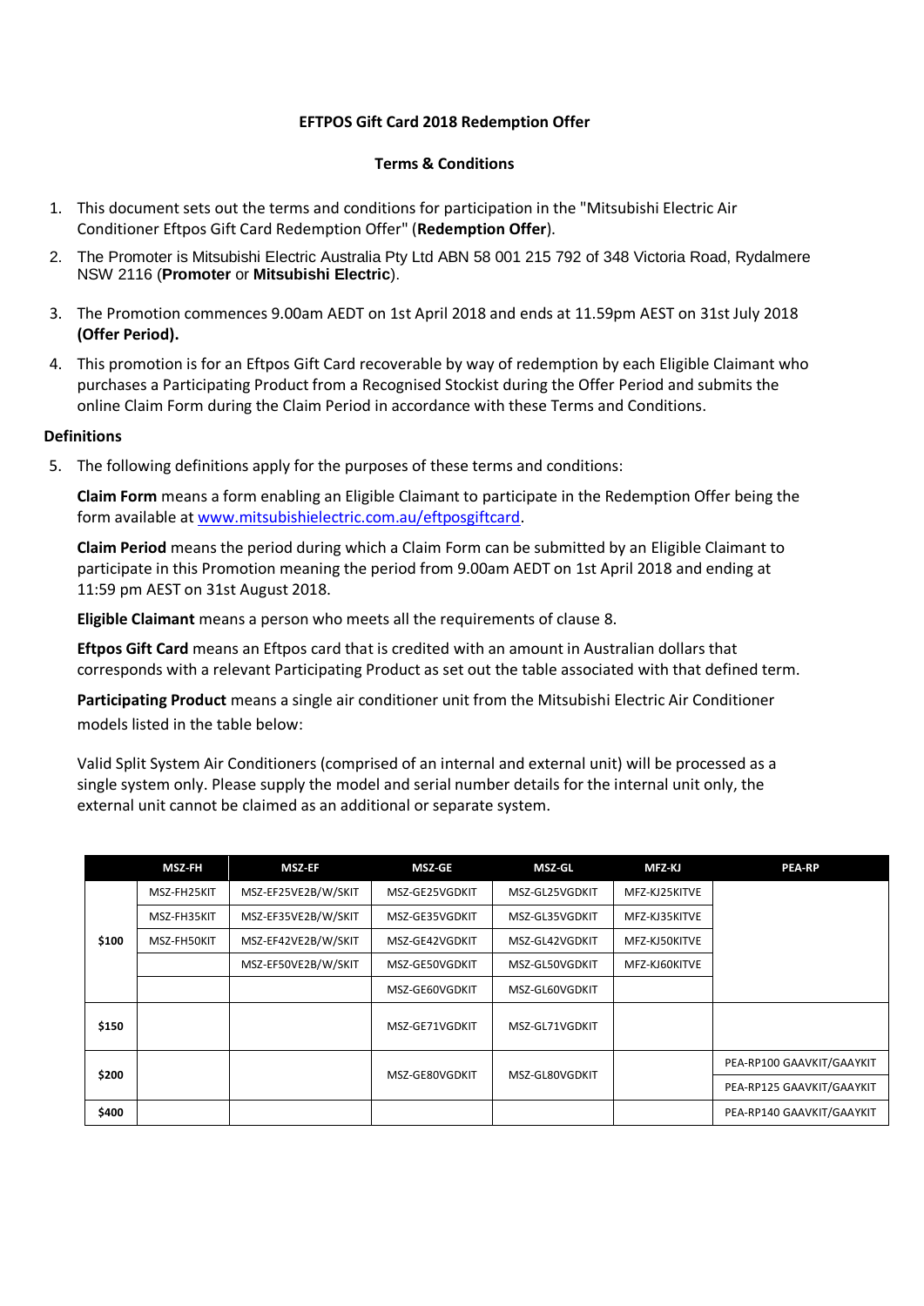### **EFTPOS Gift Card 2018 Redemption Offer**

### **Terms & Conditions**

- 1. This document sets out the terms and conditions for participation in the "Mitsubishi Electric Air Conditioner Eftpos Gift Card Redemption Offer" (**Redemption Offer**).
- 2. The Promoter is Mitsubishi Electric Australia Pty Ltd ABN 58 001 215 792 of 348 Victoria Road, Rydalmere NSW 2116 (**Promoter** or **Mitsubishi Electric**).
- 3. The Promotion commences 9.00am AEDT on 1st April 2018 and ends at 11.59pm AEST on 31st July 2018 **(Offer Period).**
- 4. This promotion is for an Eftpos Gift Card recoverable by way of redemption by each Eligible Claimant who purchases a Participating Product from a Recognised Stockist during the Offer Period and submits the online Claim Form during the Claim Period in accordance with these Terms and Conditions.

#### **Definitions**

5. The following definitions apply for the purposes of these terms and conditions:

**Claim Form** means a form enabling an Eligible Claimant to participate in the Redemption Offer being the form available at [www.mitsubishielectric.com.au/eftposgiftcard.](http://www.mitsubishielectric.com.au/eftposgiftcard)

**Claim Period** means the period during which a Claim Form can be submitted by an Eligible Claimant to participate in this Promotion meaning the period from 9.00am AEDT on 1st April 2018 and ending at 11:59 pm AEST on 31st August 2018.

**Eligible Claimant** means a person who meets all the requirements of clause 8.

**Eftpos Gift Card** means an Eftpos card that is credited with an amount in Australian dollars that corresponds with a relevant Participating Product as set out the table associated with that defined term.

**Participating Product** means a single air conditioner unit from the Mitsubishi Electric Air Conditioner models listed in the table below:

Valid Split System Air Conditioners (comprised of an internal and external unit) will be processed as a single system only. Please supply the model and serial number details for the internal unit only, the external unit cannot be claimed as an additional or separate system.

|       | <b>MSZ-FH</b> | <b>MSZ-EF</b>       | <b>MSZ-GE</b>  | MSZ-GL         | MFZ-KJ        | <b>PEA-RP</b>             |
|-------|---------------|---------------------|----------------|----------------|---------------|---------------------------|
| \$100 | MSZ-FH25KIT   | MSZ-EF25VE2B/W/SKIT | MSZ-GE25VGDKIT | MSZ-GL25VGDKIT | MFZ-KJ25KITVE |                           |
|       | MSZ-FH35KIT   | MSZ-EF35VE2B/W/SKIT | MSZ-GE35VGDKIT | MSZ-GL35VGDKIT | MFZ-KJ35KITVE |                           |
|       | MSZ-FH50KIT   | MSZ-EF42VE2B/W/SKIT | MSZ-GE42VGDKIT | MSZ-GL42VGDKIT | MFZ-KJ50KITVE |                           |
|       |               | MSZ-EF50VE2B/W/SKIT | MSZ-GE50VGDKIT | MSZ-GL50VGDKIT | MFZ-KJ60KITVE |                           |
|       |               |                     | MSZ-GE60VGDKIT | MSZ-GL60VGDKIT |               |                           |
| \$150 |               |                     | MSZ-GE71VGDKIT | MSZ-GL71VGDKIT |               |                           |
| \$200 |               |                     | MSZ-GE80VGDKIT | MSZ-GL80VGDKIT |               | PEA-RP100 GAAVKIT/GAAYKIT |
|       |               |                     |                |                |               | PEA-RP125 GAAVKIT/GAAYKIT |
| \$400 |               |                     |                |                |               | PEA-RP140 GAAVKIT/GAAYKIT |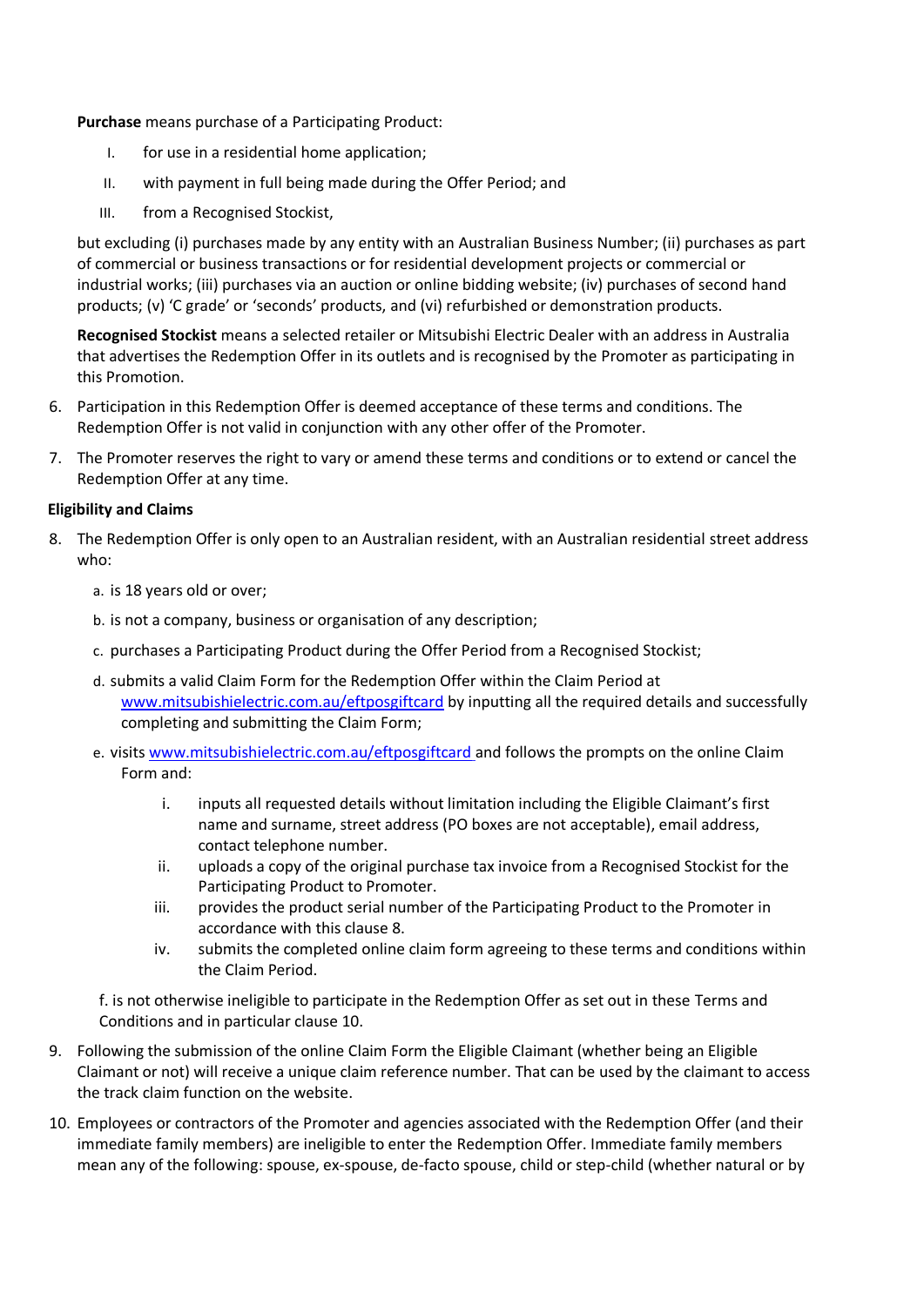**Purchase** means purchase of a Participating Product:

- I. for use in a residential home application;
- II. with payment in full being made during the Offer Period; and
- III. from a [Recognised Stockist,](https://www.eftposcashcard.mitsubishielectric.com.au/stores)

but excluding (i) purchases made by any entity with an Australian Business Number; (ii) purchases as part of commercial or business transactions or for residential development projects or commercial or industrial works; (iii) purchases via an auction or online bidding website; (iv) purchases of second hand products; (v) 'C grade' or 'seconds' products, and (vi) refurbished or demonstration products.

**Recognised Stockist** means a selected retailer or Mitsubishi Electric Dealer with an address in Australia that advertises the Redemption Offer in its outlets and is recognised by the Promoter as participating in this Promotion.

- 6. Participation in this Redemption Offer is deemed acceptance of these terms and conditions. The Redemption Offer is not valid in conjunction with any other offer of the Promoter.
- 7. The Promoter reserves the right to vary or amend these terms and conditions or to extend or cancel the Redemption Offer at any time.

### **Eligibility and Claims**

- 8. The Redemption Offer is only open to an Australian resident, with an Australian residential street address who:
	- a. is 18 years old or over;
	- b. is not a company, business or organisation of any description;
	- c. purchases a Participating Product during the Offer Period from a Recognised Stockist;
	- d. submits a valid Claim Form for the Redemption Offer within the Claim Period at [www.mitsubishielectric.com.au/eftposgiftcard](http://www.mitsubishielectric.com.au/eftposgiftcard) by inputting all the required details and successfully completing and submitting the Claim Form;
	- e. visit[s www.mitsubishielectric.com.au/eftposgiftcard](http://www.mitsubishielectric.com.au/eftposgiftcard) and follows the prompts on the online Claim Form and:
		- i. inputs all requested details without limitation including the Eligible Claimant's first name and surname, street address (PO boxes are not acceptable), email address, contact telephone number.
		- ii. uploads a copy of the original purchase tax invoice from a Recognised Stockist for the Participating Product to Promoter.
		- iii. provides the product serial number of the Participating Product to the Promoter in accordance with this clause 8.
		- iv. submits the completed online claim form agreeing to these terms and conditions within the Claim Period.

f. is not otherwise ineligible to participate in the Redemption Offer as set out in these Terms and Conditions and in particular clause 10.

- 9. Following the submission of the online Claim Form the Eligible Claimant (whether being an Eligible Claimant or not) will receive a unique claim reference number. That can be used by the claimant to access the track claim function on the website.
- 10. Employees or contractors of the Promoter and agencies associated with the Redemption Offer (and their immediate family members) are ineligible to enter the Redemption Offer. Immediate family members mean any of the following: spouse, ex-spouse, de-facto spouse, child or step-child (whether natural or by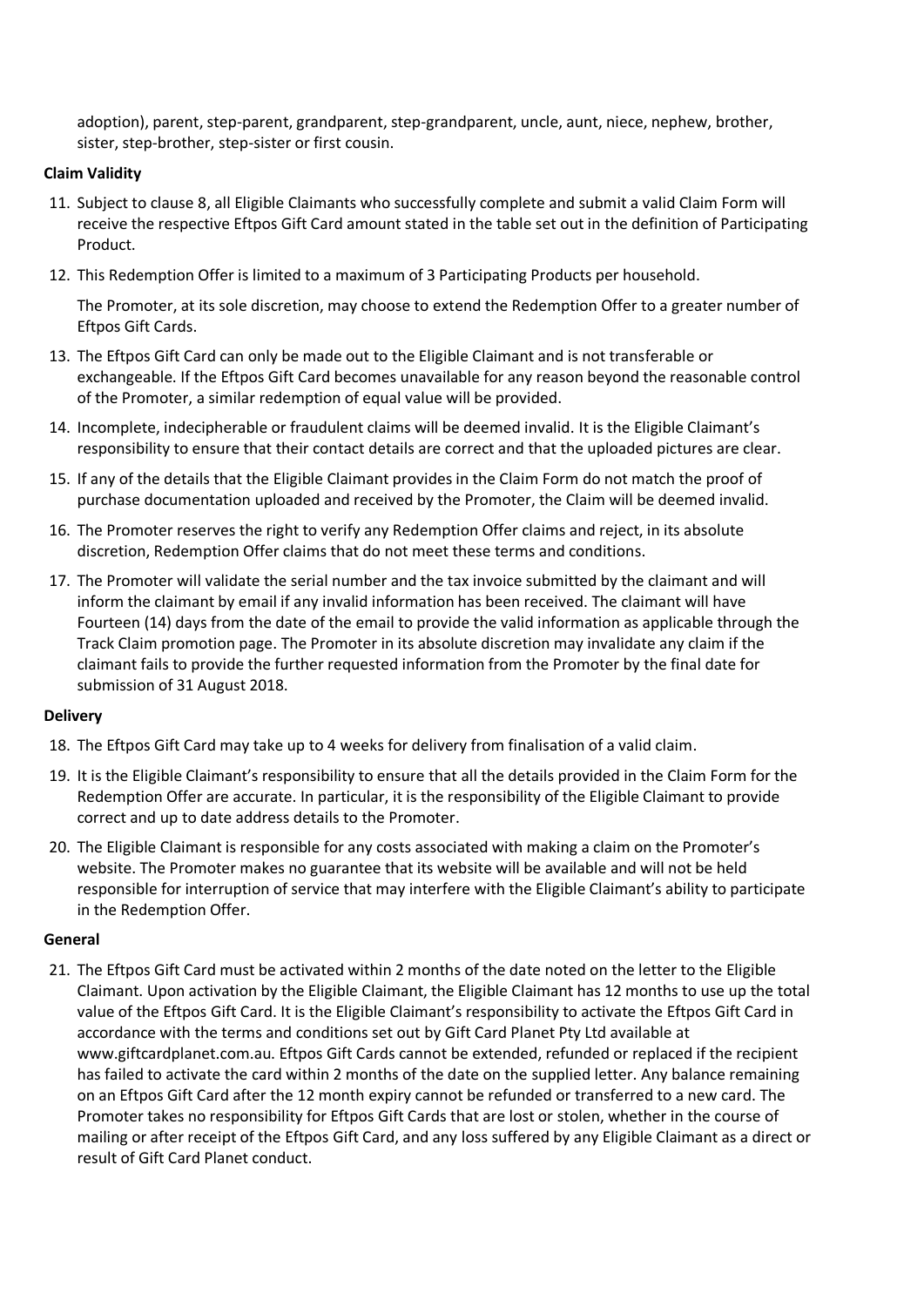adoption), parent, step-parent, grandparent, step-grandparent, uncle, aunt, niece, nephew, brother, sister, step-brother, step-sister or first cousin.

## **Claim Validity**

- 11. Subject to clause 8, all Eligible Claimants who successfully complete and submit a valid Claim Form will receive the respective Eftpos Gift Card amount stated in the table set out in the definition of Participating Product.
- 12. This Redemption Offer is limited to a maximum of 3 Participating Products per household.

The Promoter, at its sole discretion, may choose to extend the Redemption Offer to a greater number of Eftpos Gift Cards.

- 13. The Eftpos Gift Card can only be made out to the Eligible Claimant and is not transferable or exchangeable. If the Eftpos Gift Card becomes unavailable for any reason beyond the reasonable control of the Promoter, a similar redemption of equal value will be provided.
- 14. Incomplete, indecipherable or fraudulent claims will be deemed invalid. It is the Eligible Claimant's responsibility to ensure that their contact details are correct and that the uploaded pictures are clear.
- 15. If any of the details that the Eligible Claimant provides in the Claim Form do not match the proof of purchase documentation uploaded and received by the Promoter, the Claim will be deemed invalid.
- 16. The Promoter reserves the right to verify any Redemption Offer claims and reject, in its absolute discretion, Redemption Offer claims that do not meet these terms and conditions.
- 17. The Promoter will validate the serial number and the tax invoice submitted by the claimant and will inform the claimant by email if any invalid information has been received. The claimant will have Fourteen (14) days from the date of the email to provide the valid information as applicable through the Track Claim promotion page. The Promoter in its absolute discretion may invalidate any claim if the claimant fails to provide the further requested information from the Promoter by the final date for submission of 31 August 2018.

# **Delivery**

- 18. The Eftpos Gift Card may take up to 4 weeks for delivery from finalisation of a valid claim.
- 19. It is the Eligible Claimant's responsibility to ensure that all the details provided in the Claim Form for the Redemption Offer are accurate. In particular, it is the responsibility of the Eligible Claimant to provide correct and up to date address details to the Promoter.
- 20. The Eligible Claimant is responsible for any costs associated with making a claim on the Promoter's website. The Promoter makes no guarantee that its website will be available and will not be held responsible for interruption of service that may interfere with the Eligible Claimant's ability to participate in the Redemption Offer.

### **General**

21. The Eftpos Gift Card must be activated within 2 months of the date noted on the letter to the Eligible Claimant. Upon activation by the Eligible Claimant, the Eligible Claimant has 12 months to use up the total value of the Eftpos Gift Card. It is the Eligible Claimant's responsibility to activate the Eftpos Gift Card in accordance with the terms and conditions set out by Gift Card Planet Pty Ltd available at www.giftcardplanet.com.au. Eftpos Gift Cards cannot be extended, refunded or replaced if the recipient has failed to activate the card within 2 months of the date on the supplied letter. Any balance remaining on an Eftpos Gift Card after the 12 month expiry cannot be refunded or transferred to a new card. The Promoter takes no responsibility for Eftpos Gift Cards that are lost or stolen, whether in the course of mailing or after receipt of the Eftpos Gift Card, and any loss suffered by any Eligible Claimant as a direct or result of Gift Card Planet conduct.